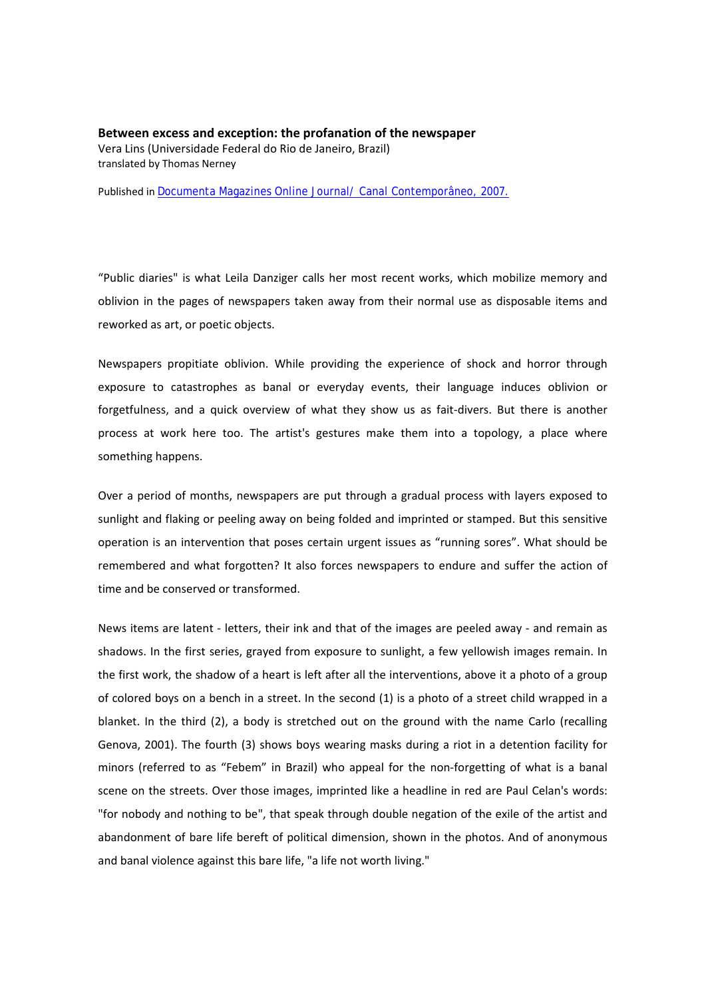**Between excess and exception: the profanation of the newspaper** Vera Lins (Universidade Federal do Rio de Janeiro, Brazil) translated by Thomas Nerney

Published in Documenta Magazines Online Journal/ Canal Contemporâneo, 2007.

"Public diaries" is what Leila Danziger calls her most recent works, which mobilize memory and oblivion in the pages of newspapers taken away from their normal use as disposable items and reworked as art, or poetic objects.

Newspapers propitiate oblivion. While providing the experience of shock and horror through exposure to catastrophes as banal or everyday events, their language induces oblivion or forgetfulness, and a quick overview of what they show us as fait-divers. But there is another process at work here too. The artist's gestures make them into a topology, a place where something happens.

Over a period of months, newspapers are put through a gradual process with layers exposed to sunlight and flaking or peeling away on being folded and imprinted or stamped. But this sensitive operation is an intervention that poses certain urgent issues as "running sores". What should be remembered and what forgotten? It also forces newspapers to endure and suffer the action of time and be conserved or transformed.

News items are latent ‐ letters, their ink and that of the images are peeled away ‐ and remain as shadows. In the first series, grayed from exposure to sunlight, a few yellowish images remain. In the first work, the shadow of a heart is left after all the interventions, above it a photo of a group of colored boys on a bench in a street. In the second (1) is a photo of a street child wrapped in a blanket. In the third (2), a body is stretched out on the ground with the name Carlo (recalling Genova, 2001). The fourth (3) shows boys wearing masks during a riot in a detention facility for minors (referred to as "Febem" in Brazil) who appeal for the non-forgetting of what is a banal scene on the streets. Over those images, imprinted like a headline in red are Paul Celan's words: "for nobody and nothing to be", that speak through double negation of the exile of the artist and abandonment of bare life bereft of political dimension, shown in the photos. And of anonymous and banal violence against this bare life, "a life not worth living."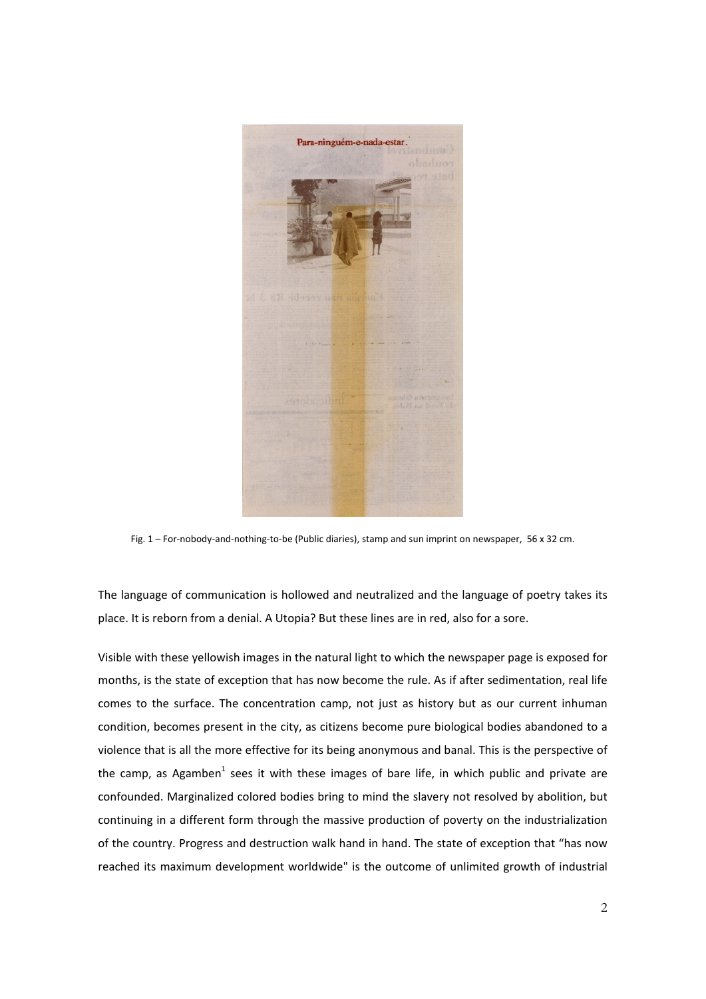

Fig. 1 – For-nobody-and-nothing-to-be (Public diaries), stamp and sun imprint on newspaper, 56 x 32 cm.

The language of communication is hollowed and neutralized and the language of poetry takes its place. It is reborn from a denial. A Utopia? But these lines are in red, also for a sore.

Visible with these yellowish images in the natural light to which the newspaper page is exposed for months, is the state of exception that has now become the rule. As if after sedimentation, real life comes to the surface. The concentration camp, not just as history but as our current inhuman condition, becomes present in the city, as citizens become pure biological bodies abandoned to a violence that is all the more effective for its being anonymous and banal. This is the perspective of the camp, as Agamben<sup>1</sup> sees it with these images of bare life, in which public and private are confounded. Marginalized colored bodies bring to mind the slavery not resolved by abolition, but continuing in a different form through the massive production of poverty on the industrialization of the country. Progress and destruction walk hand in hand. The state of exception that "has now reached its maximum development worldwide" is the outcome of unlimited growth of industrial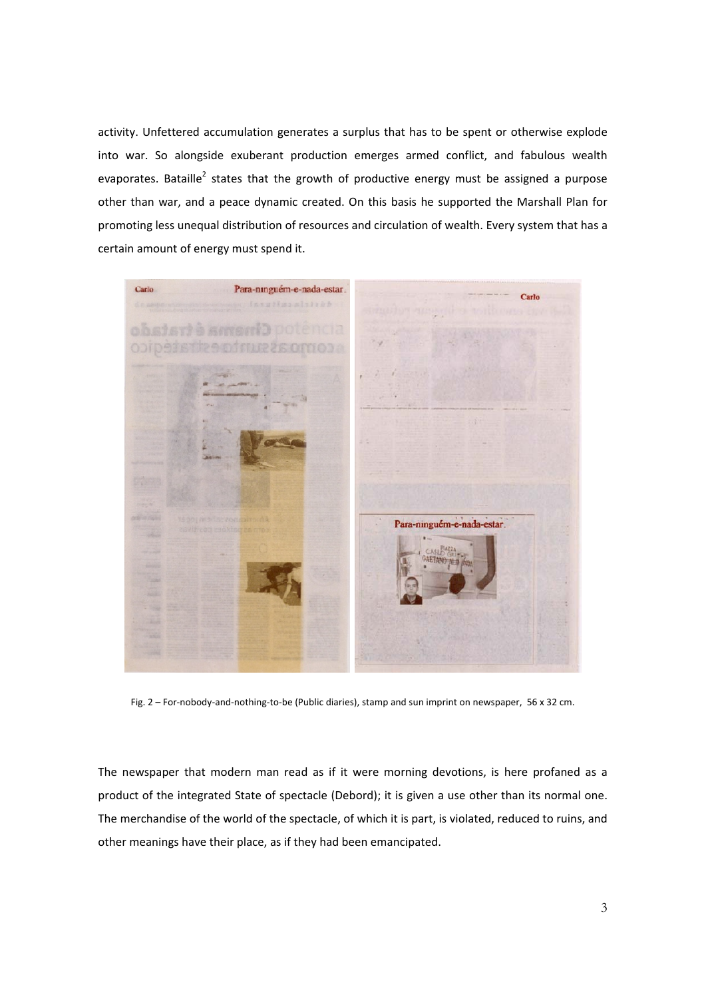activity. Unfettered accumulation generates a surplus that has to be spent or otherwise explode into war. So alongside exuberant production emerges armed conflict, and fabulous wealth evaporates. Bataille<sup>2</sup> states that the growth of productive energy must be assigned a purpose other than war, and a peace dynamic created. On this basis he supported the Marshall Plan for promoting less unequal distribution of resources and circulation of wealth. Every system that has a certain amount of energy must spend it.



Fig. 2 – For-nobody-and-nothing-to-be (Public diaries), stamp and sun imprint on newspaper, 56 x 32 cm.

The newspaper that modern man read as if it were morning devotions, is here profaned as a product of the integrated State of spectacle (Debord); it is given a use other than its normal one. The merchandise of the world of the spectacle, of which it is part, is violated, reduced to ruins, and other meanings have their place, as if they had been emancipated.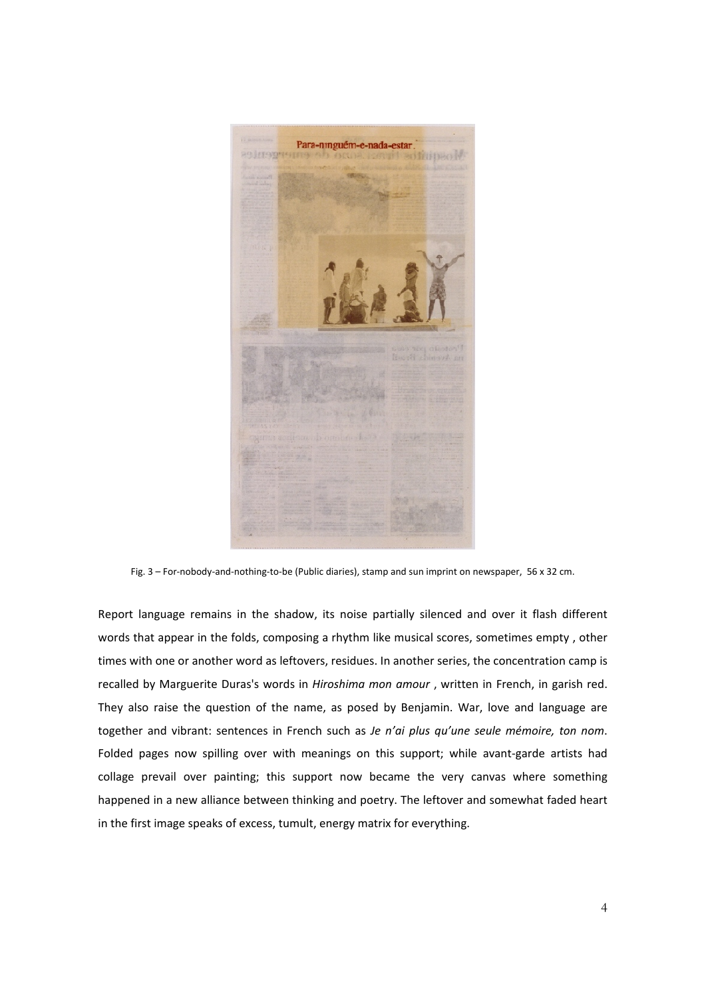

Fig. 3 – For-nobody-and-nothing-to-be (Public diaries), stamp and sun imprint on newspaper, 56 x 32 cm.

Report language remains in the shadow, its noise partially silenced and over it flash different words that appear in the folds, composing a rhythm like musical scores, sometimes empty , other times with one or another word as leftovers, residues. In another series, the concentration camp is recalled by Marguerite Duras's words in *Hiroshima mon amour* , written in French, in garish red. They also raise the question of the name, as posed by Benjamin. War, love and language are together and vibrant: sentences in French such as *Je n'ai plus qu'une seule mémoire, ton nom*. Folded pages now spilling over with meanings on this support; while avant-garde artists had collage prevail over painting; this support now became the very canvas where something happened in a new alliance between thinking and poetry. The leftover and somewhat faded heart in the first image speaks of excess, tumult, energy matrix for everything.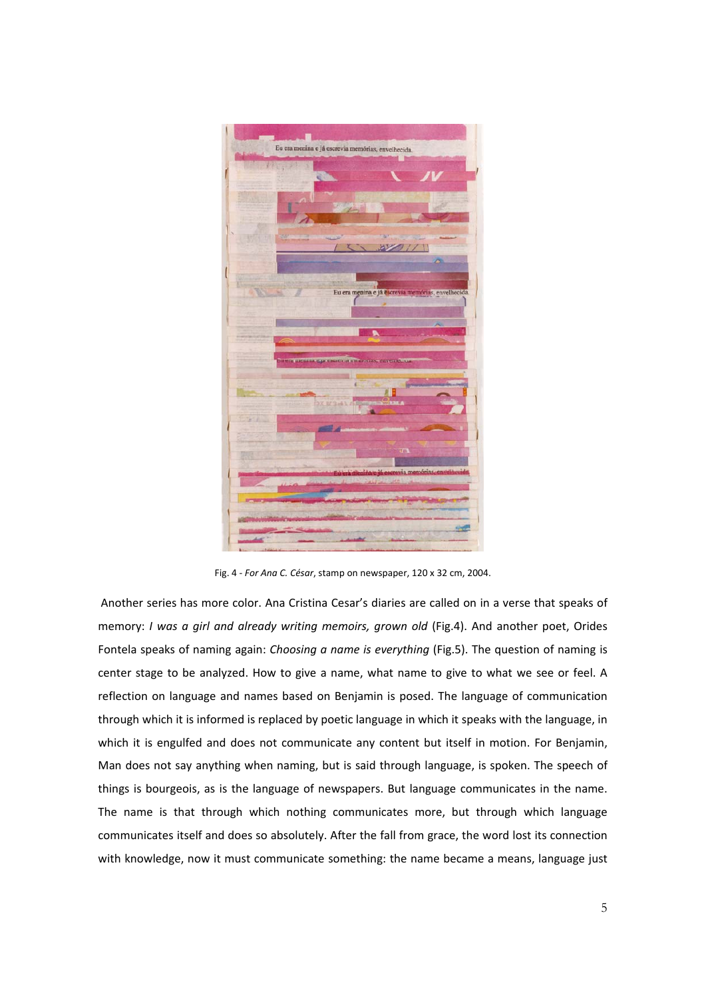

Fig. 4 ‐ *For Ana C. César*, stamp on newspaper, 120 x 32 cm, 2004.

Another series has more color. Ana Cristina Cesar's diaries are called on in a verse that speaks of memory: *I was a girl and already writing memoirs, grown old* (Fig.4). And another poet, Orides Fontela speaks of naming again: *Choosing a name is everything* (Fig.5). The question of naming is center stage to be analyzed. How to give a name, what name to give to what we see or feel. A reflection on language and names based on Benjamin is posed. The language of communication through which it is informed is replaced by poetic language in which it speaks with the language, in which it is engulfed and does not communicate any content but itself in motion. For Benjamin, Man does not say anything when naming, but is said through language, is spoken. The speech of things is bourgeois, as is the language of newspapers. But language communicates in the name. The name is that through which nothing communicates more, but through which language communicates itself and does so absolutely. After the fall from grace, the word lost its connection with knowledge, now it must communicate something: the name became a means, language just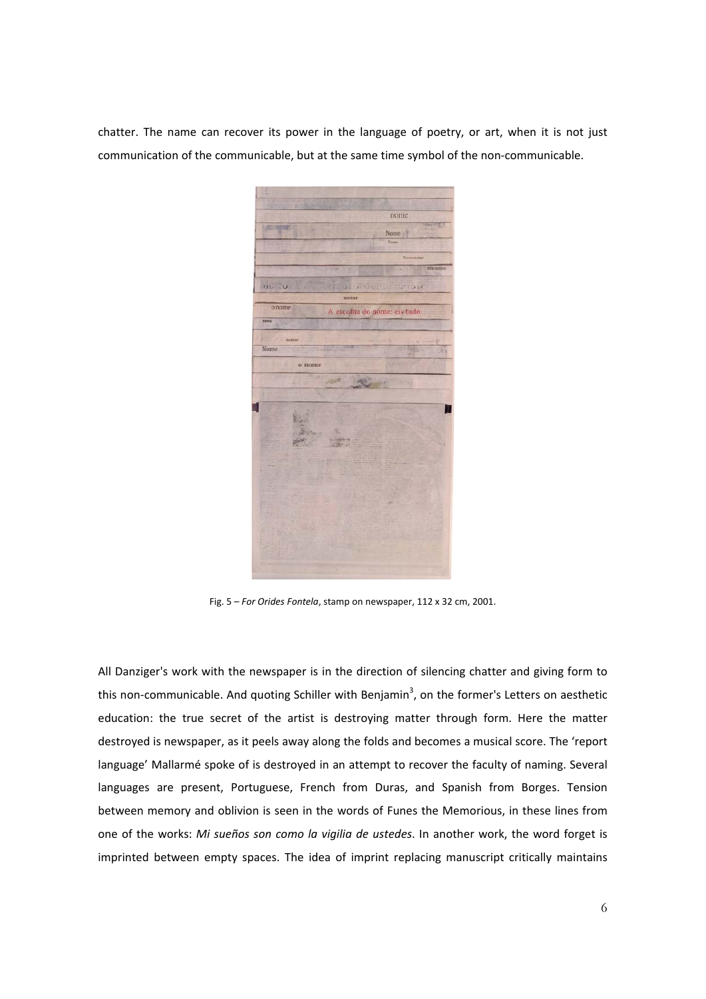chatter. The name can recover its power in the language of poetry, or art, when it is not just communication of the communicable, but at the same time symbol of the non-communicable.

nome **WO SU** o nome A escolha do nome: eis tud Nome  $\alpha$  nome

Fig. 5 – *For Orides Fontela*, stamp on newspaper, 112 x 32 cm, 2001.

All Danziger's work with the newspaper is in the direction of silencing chatter and giving form to this non-communicable. And quoting Schiller with Benjamin<sup>3</sup>, on the former's Letters on aesthetic education: the true secret of the artist is destroying matter through form. Here the matter destroyed is newspaper, as it peels away along the folds and becomes a musical score. The 'report language' Mallarmé spoke of is destroyed in an attempt to recover the faculty of naming. Several languages are present, Portuguese, French from Duras, and Spanish from Borges. Tension between memory and oblivion is seen in the words of Funes the Memorious, in these lines from one of the works: *Mi sueños son como la vigilia de ustedes*. In another work, the word forget is imprinted between empty spaces. The idea of imprint replacing manuscript critically maintains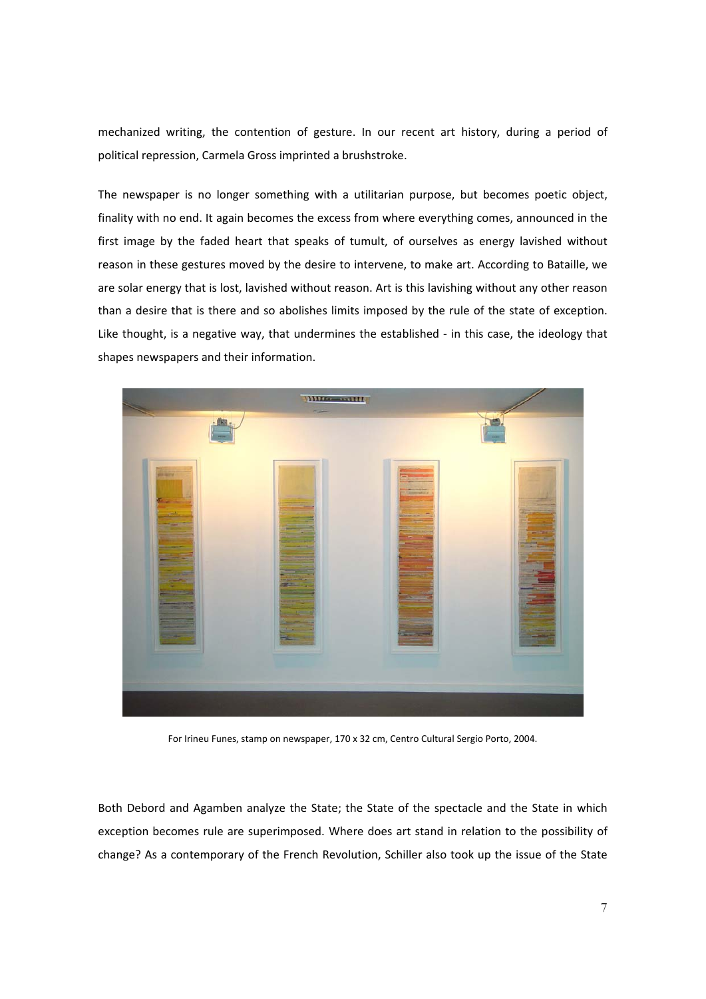mechanized writing, the contention of gesture. In our recent art history, during a period of political repression, Carmela Gross imprinted a brushstroke.

The newspaper is no longer something with a utilitarian purpose, but becomes poetic object, finality with no end. It again becomes the excess from where everything comes, announced in the first image by the faded heart that speaks of tumult, of ourselves as energy lavished without reason in these gestures moved by the desire to intervene, to make art. According to Bataille, we are solar energy that is lost, lavished without reason. Art is this lavishing without any other reason than a desire that is there and so abolishes limits imposed by the rule of the state of exception. Like thought, is a negative way, that undermines the established - in this case, the ideology that shapes newspapers and their information.



For Irineu Funes, stamp on newspaper, 170 x 32 cm, Centro Cultural Sergio Porto, 2004.

Both Debord and Agamben analyze the State; the State of the spectacle and the State in which exception becomes rule are superimposed. Where does art stand in relation to the possibility of change? As a contemporary of the French Revolution, Schiller also took up the issue of the State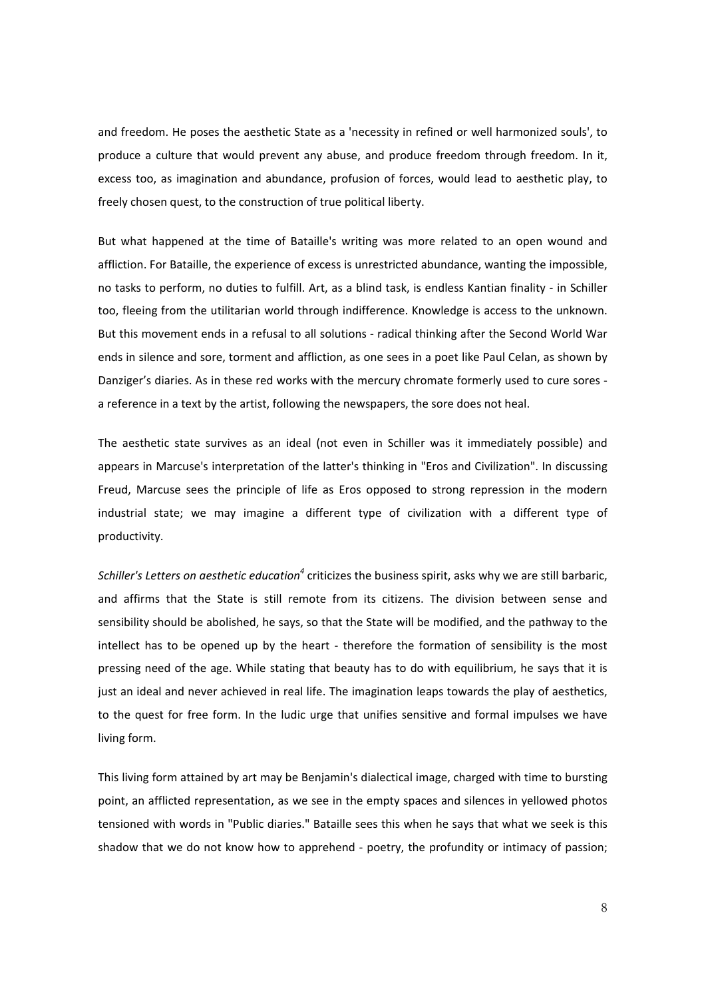and freedom. He poses the aesthetic State as a 'necessity in refined or well harmonized souls', to produce a culture that would prevent any abuse, and produce freedom through freedom. In it, excess too, as imagination and abundance, profusion of forces, would lead to aesthetic play, to freely chosen quest, to the construction of true political liberty.

But what happened at the time of Bataille's writing was more related to an open wound and affliction. For Bataille, the experience of excess is unrestricted abundance, wanting the impossible, no tasks to perform, no duties to fulfill. Art, as a blind task, is endless Kantian finality ‐ in Schiller too, fleeing from the utilitarian world through indifference. Knowledge is access to the unknown. But this movement ends in a refusal to all solutions ‐ radical thinking after the Second World War ends in silence and sore, torment and affliction, as one sees in a poet like Paul Celan, as shown by Danziger's diaries. As in these red works with the mercury chromate formerly used to cure sores ‐ a reference in a text by the artist, following the newspapers, the sore does not heal.

The aesthetic state survives as an ideal (not even in Schiller was it immediately possible) and appears in Marcuse's interpretation of the latter's thinking in "Eros and Civilization". In discussing Freud, Marcuse sees the principle of life as Eros opposed to strong repression in the modern industrial state; we may imagine a different type of civilization with a different type of productivity.

*Schiller's Letters on aesthetic education<sup>4</sup>* criticizes the business spirit, asks why we are still barbaric, and affirms that the State is still remote from its citizens. The division between sense and sensibility should be abolished, he says, so that the State will be modified, and the pathway to the intellect has to be opened up by the heart - therefore the formation of sensibility is the most pressing need of the age. While stating that beauty has to do with equilibrium, he says that it is just an ideal and never achieved in real life. The imagination leaps towards the play of aesthetics, to the quest for free form. In the ludic urge that unifies sensitive and formal impulses we have living form.

This living form attained by art may be Benjamin's dialectical image, charged with time to bursting point, an afflicted representation, as we see in the empty spaces and silences in yellowed photos tensioned with words in "Public diaries." Bataille sees this when he says that what we seek is this shadow that we do not know how to apprehend ‐ poetry, the profundity or intimacy of passion;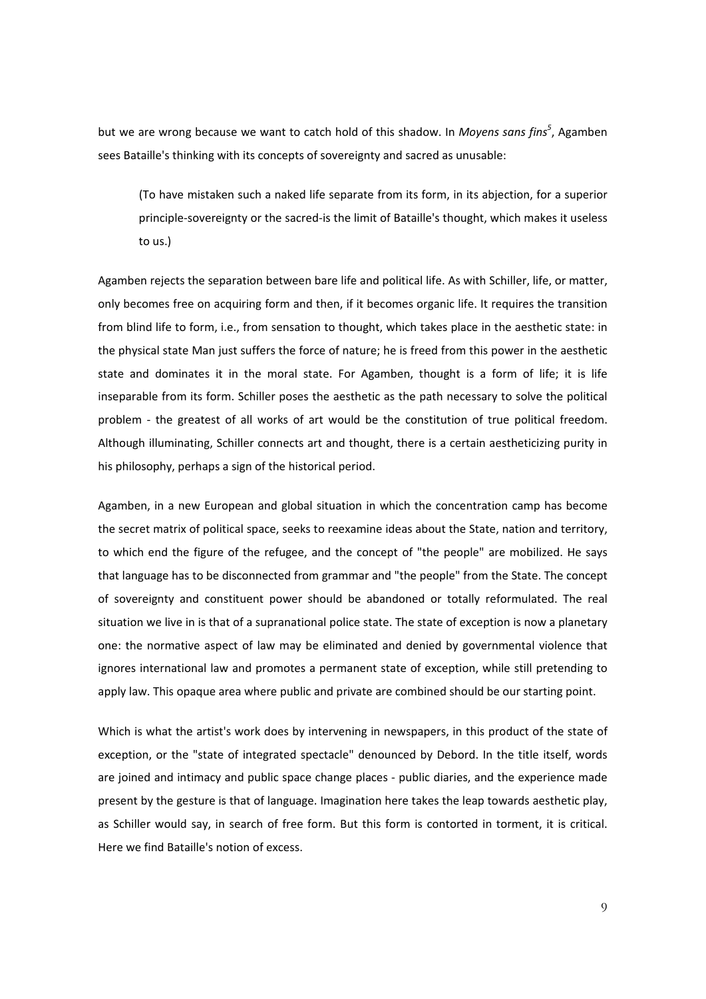but we are wrong because we want to catch hold of this shadow. In *Moyens sans fins*<sup>5</sup>, Agamben sees Bataille's thinking with its concepts of sovereignty and sacred as unusable:

(To have mistaken such a naked life separate from its form, in its abjection, for a superior principle‐sovereignty or the sacred‐is the limit of Bataille's thought, which makes it useless to us.)

Agamben rejects the separation between bare life and political life. As with Schiller, life, or matter, only becomes free on acquiring form and then, if it becomes organic life. It requires the transition from blind life to form, i.e., from sensation to thought, which takes place in the aesthetic state: in the physical state Man just suffers the force of nature; he is freed from this power in the aesthetic state and dominates it in the moral state. For Agamben, thought is a form of life; it is life inseparable from its form. Schiller poses the aesthetic as the path necessary to solve the political problem - the greatest of all works of art would be the constitution of true political freedom. Although illuminating, Schiller connects art and thought, there is a certain aestheticizing purity in his philosophy, perhaps a sign of the historical period.

Agamben, in a new European and global situation in which the concentration camp has become the secret matrix of political space, seeks to reexamine ideas about the State, nation and territory, to which end the figure of the refugee, and the concept of "the people" are mobilized. He says that language has to be disconnected from grammar and "the people" from the State. The concept of sovereignty and constituent power should be abandoned or totally reformulated. The real situation we live in is that of a supranational police state. The state of exception is now a planetary one: the normative aspect of law may be eliminated and denied by governmental violence that ignores international law and promotes a permanent state of exception, while still pretending to apply law. This opaque area where public and private are combined should be our starting point.

Which is what the artist's work does by intervening in newspapers, in this product of the state of exception, or the "state of integrated spectacle" denounced by Debord. In the title itself, words are joined and intimacy and public space change places ‐ public diaries, and the experience made present by the gesture is that of language. Imagination here takes the leap towards aesthetic play, as Schiller would say, in search of free form. But this form is contorted in torment, it is critical. Here we find Bataille's notion of excess.